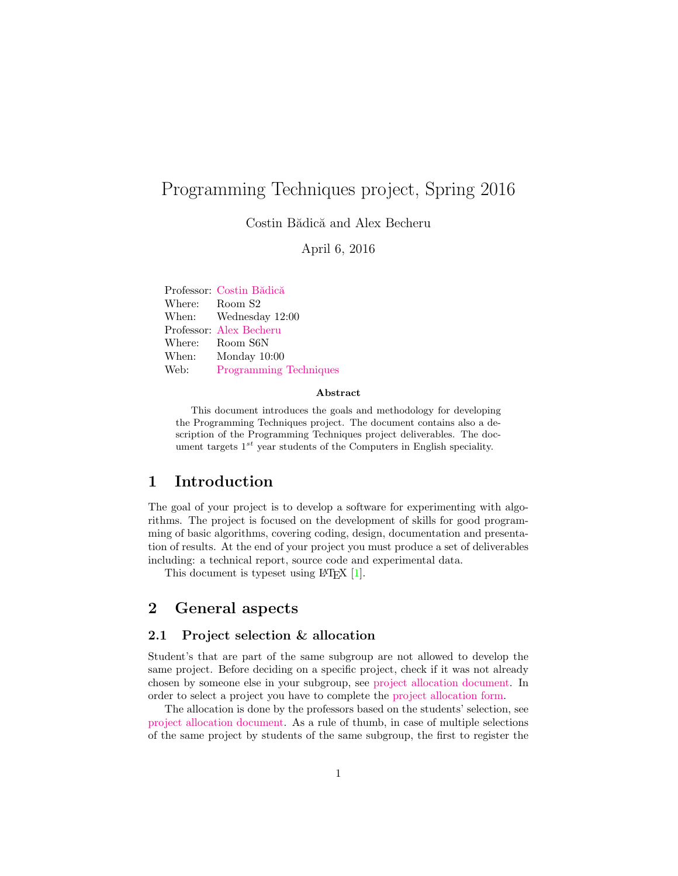# Programming Techniques project, Spring 2016

Costin Bădică and Alex Becheru

April 6, 2016

Professor: Costin Bădică Where: Room S2 When: Wednesday 12:00 Professor: [Alex Becheru](http://www.becheru.net) Where: Room S6N When: Monday 10:00 Web: [Programming Techniques](http://pt.becheru.net/project)

#### Abstract

This document introduces the goals and methodology for developing the Programming Techniques project. The document contains also a description of the Programming Techniques project deliverables. The document targets  $1^{st}$  year students of the Computers in English speciality.

## 1 Introduction

The goal of your project is to develop a software for experimenting with algorithms. The project is focused on the development of skills for good programming of basic algorithms, covering coding, design, documentation and presentation of results. At the end of your project you must produce a set of deliverables including: a technical report, source code and experimental data.

This document is typeset using LAT<sub>EX</sub> [\[1\]](#page-5-0).

## 2 General aspects

#### 2.1 Project selection & allocation

Student's that are part of the same subgroup are not allowed to develop the same project. Before deciding on a specific project, check if it was not already chosen by someone else in your subgroup, see [project allocation document.](https://docs.google.com/spreadsheets/d/1qgfLXytYSiOKGD8EpADcdnMXaV2oRrm0bze58z-zzN8/edit#gid=2130326179) In order to select a project you have to complete the [project allocation form.](https://docs.google.com/forms/d/1njOWPKFI9Zi8rT-rLus8kYgcDU5g777jkSHVGQLOzPA/viewform?c=0&w=1)

The allocation is done by the professors based on the students' selection, see [project allocation document.](https://docs.google.com/spreadsheets/d/1qgfLXytYSiOKGD8EpADcdnMXaV2oRrm0bze58z-zzN8/edit#gid=2130326179) As a rule of thumb, in case of multiple selections of the same project by students of the same subgroup, the first to register the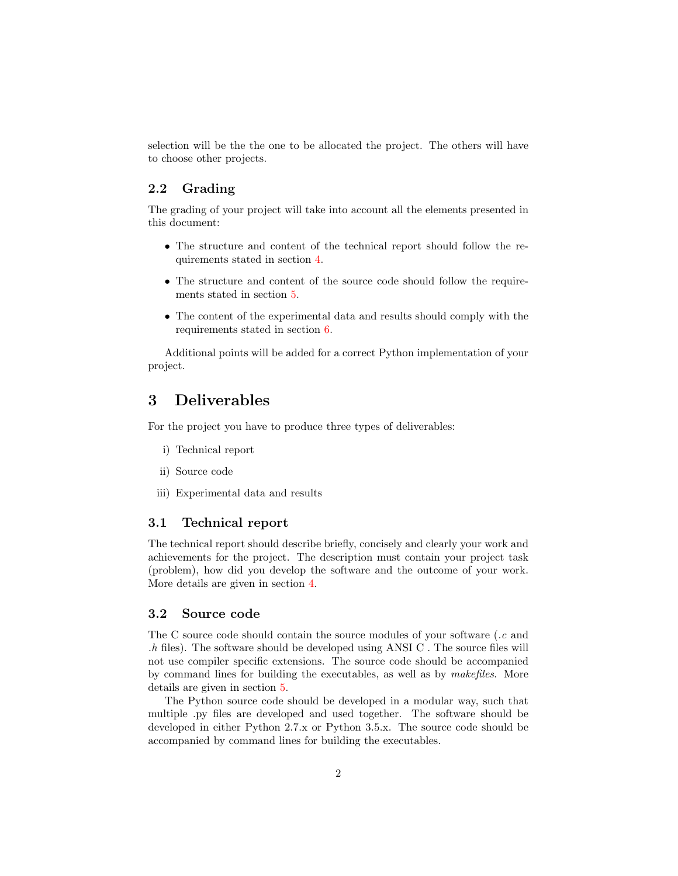selection will be the the one to be allocated the project. The others will have to choose other projects.

#### 2.2 Grading

The grading of your project will take into account all the elements presented in this document:

- The structure and content of the technical report should follow the requirements stated in section [4.](#page-2-0)
- The structure and content of the source code should follow the requirements stated in section [5.](#page-4-0)
- The content of the experimental data and results should comply with the requirements stated in section [6.](#page-5-1)

Additional points will be added for a correct Python implementation of your project.

## 3 Deliverables

For the project you have to produce three types of deliverables:

- i) Technical report
- ii) Source code
- iii) Experimental data and results

#### 3.1 Technical report

The technical report should describe briefly, concisely and clearly your work and achievements for the project. The description must contain your project task (problem), how did you develop the software and the outcome of your work. More details are given in section [4.](#page-2-0)

#### <span id="page-1-0"></span>3.2 Source code

The C source code should contain the source modules of your software (.c and  $h$  files). The software should be developed using ANSI C. The source files will not use compiler specific extensions. The source code should be accompanied by command lines for building the executables, as well as by makefiles. More details are given in section [5.](#page-4-0)

The Python source code should be developed in a modular way, such that multiple .py files are developed and used together. The software should be developed in either Python 2.7.x or Python 3.5.x. The source code should be accompanied by command lines for building the executables.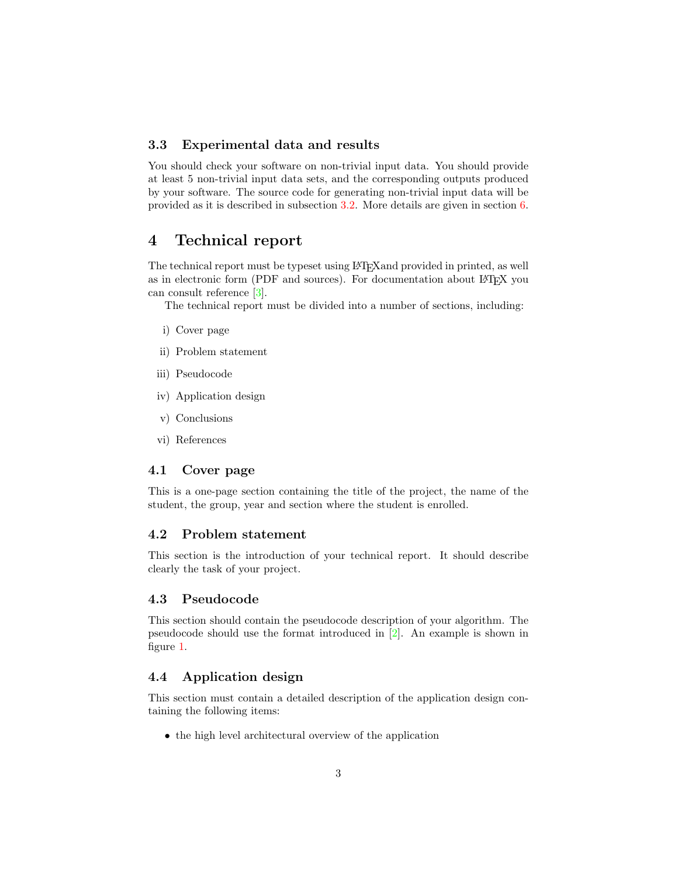#### 3.3 Experimental data and results

You should check your software on non-trivial input data. You should provide at least 5 non-trivial input data sets, and the corresponding outputs produced by your software. The source code for generating non-trivial input data will be provided as it is described in subsection [3.2.](#page-1-0) More details are given in section [6.](#page-5-1)

## <span id="page-2-0"></span>4 Technical report

The technical report must be typeset using LATEXand provided in printed, as well as in electronic form (PDF and sources). For documentation about LAT<sub>EX</sub> you can consult reference [\[3\]](#page-5-2).

The technical report must be divided into a number of sections, including:

- i) Cover page
- ii) Problem statement
- iii) Pseudocode
- iv) Application design
- v) Conclusions
- vi) References

#### 4.1 Cover page

This is a one-page section containing the title of the project, the name of the student, the group, year and section where the student is enrolled.

#### 4.2 Problem statement

This section is the introduction of your technical report. It should describe clearly the task of your project.

#### 4.3 Pseudocode

This section should contain the pseudocode description of your algorithm. The pseudocode should use the format introduced in [\[2\]](#page-5-3). An example is shown in figure [1.](#page-3-0)

#### 4.4 Application design

This section must contain a detailed description of the application design containing the following items:

• the high level architectural overview of the application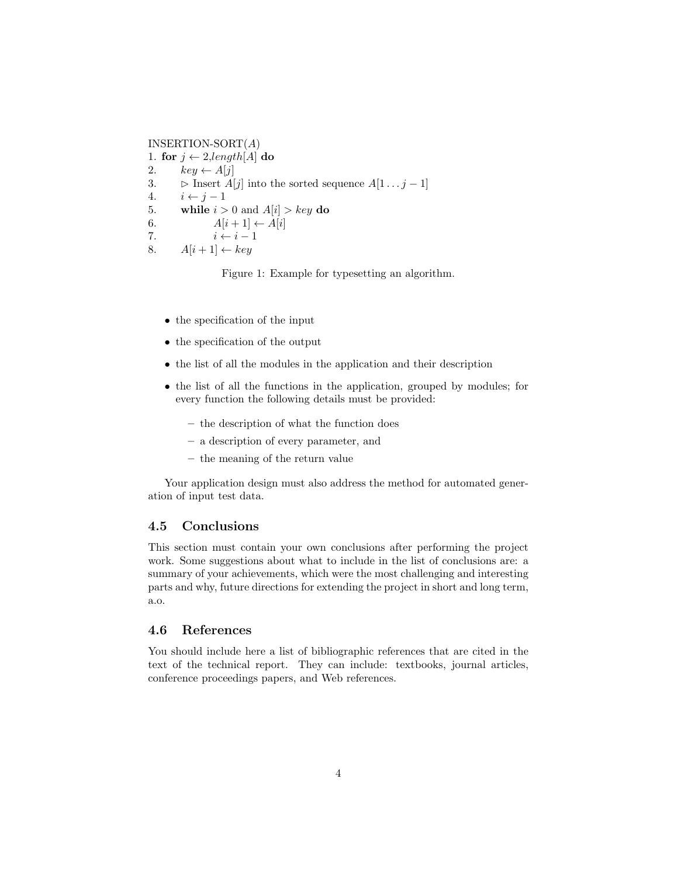INSERTION-SORT $(A)$ 1. for  $j \leftarrow 2$ , length [A] do 2.  $key \leftarrow A[j]$ 3.  $\triangleright$  Insert A[j] into the sorted sequence A[1...  $j-1$ ] 4.  $i \leftarrow j - 1$ 5. while  $i > 0$  and  $A[i] > key$  do 6.  $A[i+1] \leftarrow A[i]$ 7.  $i \leftarrow i - 1$ 8.  $A[i+1] \leftarrow key$ 

<span id="page-3-0"></span>Figure 1: Example for typesetting an algorithm.

- the specification of the input
- the specification of the output
- the list of all the modules in the application and their description
- the list of all the functions in the application, grouped by modules; for every function the following details must be provided:
	- the description of what the function does
	- a description of every parameter, and
	- the meaning of the return value

Your application design must also address the method for automated generation of input test data.

#### 4.5 Conclusions

This section must contain your own conclusions after performing the project work. Some suggestions about what to include in the list of conclusions are: a summary of your achievements, which were the most challenging and interesting parts and why, future directions for extending the project in short and long term, a.o.

#### 4.6 References

You should include here a list of bibliographic references that are cited in the text of the technical report. They can include: textbooks, journal articles, conference proceedings papers, and Web references.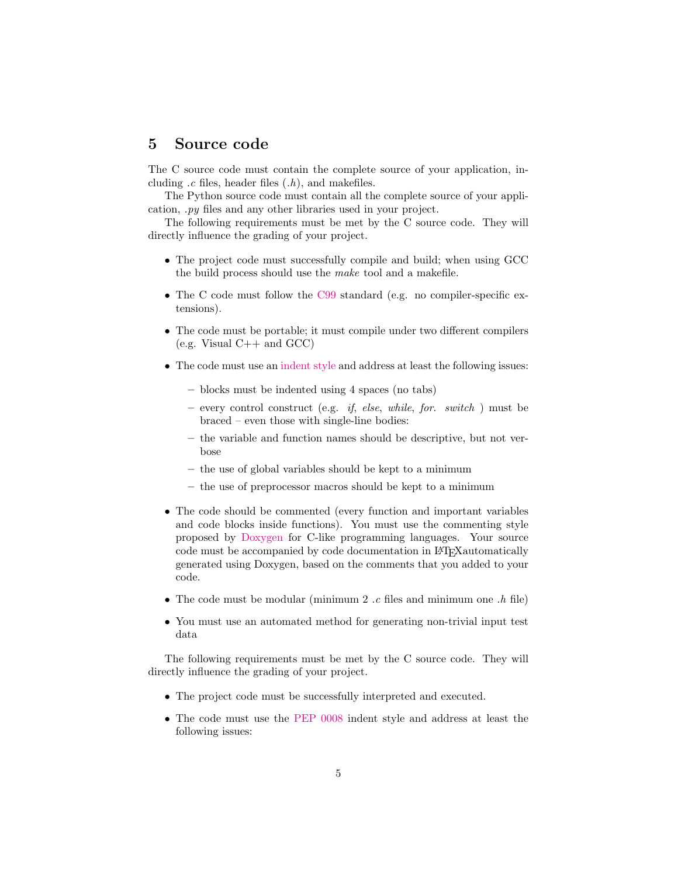### <span id="page-4-0"></span>5 Source code

The C source code must contain the complete source of your application, including  $.c$  files, header files  $(.,h)$ , and makefiles.

The Python source code must contain all the complete source of your application, .py files and any other libraries used in your project.

The following requirements must be met by the C source code. They will directly influence the grading of your project.

- The project code must successfully compile and build; when using GCC the build process should use the make tool and a makefile.
- The C code must follow the [C99](http://en.wikipedia.org/wiki/C99) standard (e.g. no compiler-specific extensions).
- The code must be portable; it must compile under two different compilers  $(e.g. Visual C++ and GCC)$
- The code must use an [indent style](http://en.wikipedia.org/wiki/Indent_style) and address at least the following issues:
	- blocks must be indented using 4 spaces (no tabs)
	- every control construct (e.g. if, else, while, for. switch ) must be braced – even those with single-line bodies:
	- the variable and function names should be descriptive, but not verbose
	- the use of global variables should be kept to a minimum
	- the use of preprocessor macros should be kept to a minimum
- The code should be commented (every function and important variables and code blocks inside functions). You must use the commenting style proposed by [Doxygen](http://www.doxygen.org/) for C-like programming languages. Your source code must be accompanied by code documentation in LATEXautomatically generated using Doxygen, based on the comments that you added to your code.
- The code must be modular (minimum 2 .c files and minimum one .h file)
- You must use an automated method for generating non-trivial input test data

The following requirements must be met by the C source code. They will directly influence the grading of your project.

- The project code must be successfully interpreted and executed.
- The code must use the [PEP 0008](https://www.python.org/dev/peps/pep-0008/) indent style and address at least the following issues: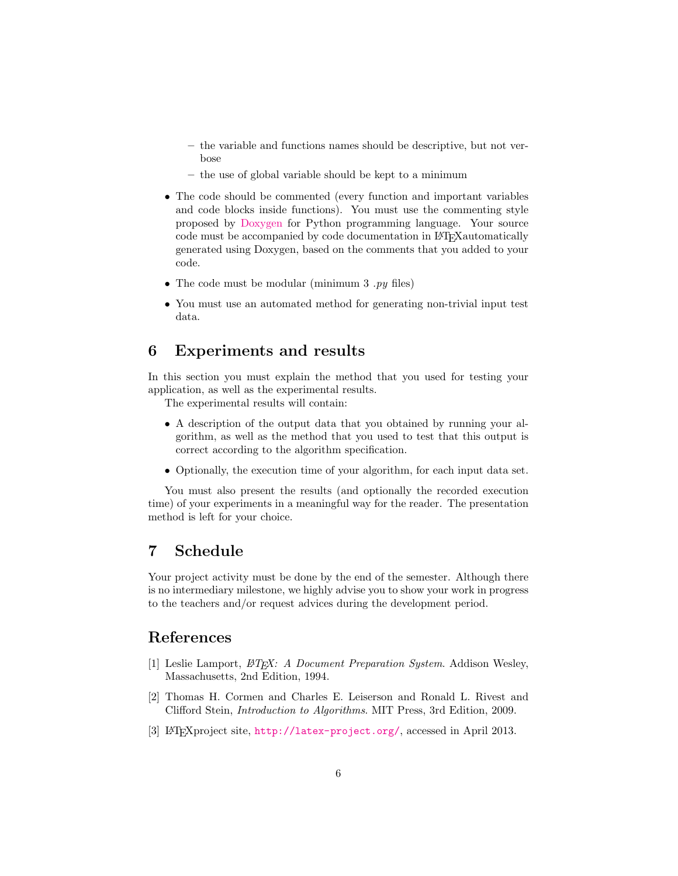- the variable and functions names should be descriptive, but not verbose
- the use of global variable should be kept to a minimum
- The code should be commented (every function and important variables and code blocks inside functions). You must use the commenting style proposed by [Doxygen](http://www.doxygen.org/) for Python programming language. Your source code must be accompanied by code documentation in LAT<sub>EX</sub> automatically generated using Doxygen, based on the comments that you added to your code.
- The code must be modular (minimum  $3 \cdot py$  files)
- You must use an automated method for generating non-trivial input test data.

## <span id="page-5-1"></span>6 Experiments and results

In this section you must explain the method that you used for testing your application, as well as the experimental results.

The experimental results will contain:

- A description of the output data that you obtained by running your algorithm, as well as the method that you used to test that this output is correct according to the algorithm specification.
- Optionally, the execution time of your algorithm, for each input data set.

You must also present the results (and optionally the recorded execution time) of your experiments in a meaningful way for the reader. The presentation method is left for your choice.

## 7 Schedule

Your project activity must be done by the end of the semester. Although there is no intermediary milestone, we highly advise you to show your work in progress to the teachers and/or request advices during the development period.

## References

- <span id="page-5-0"></span>[1] Leslie Lamport,  $\cancel{B}T\cancel{F}X$ : A Document Preparation System. Addison Wesley, Massachusetts, 2nd Edition, 1994.
- <span id="page-5-3"></span>[2] Thomas H. Cormen and Charles E. Leiserson and Ronald L. Rivest and Clifford Stein, Introduction to Algorithms. MIT Press, 3rd Edition, 2009.
- <span id="page-5-2"></span>[3] LATEXproject site, <http://latex-project.org/>, accessed in April 2013.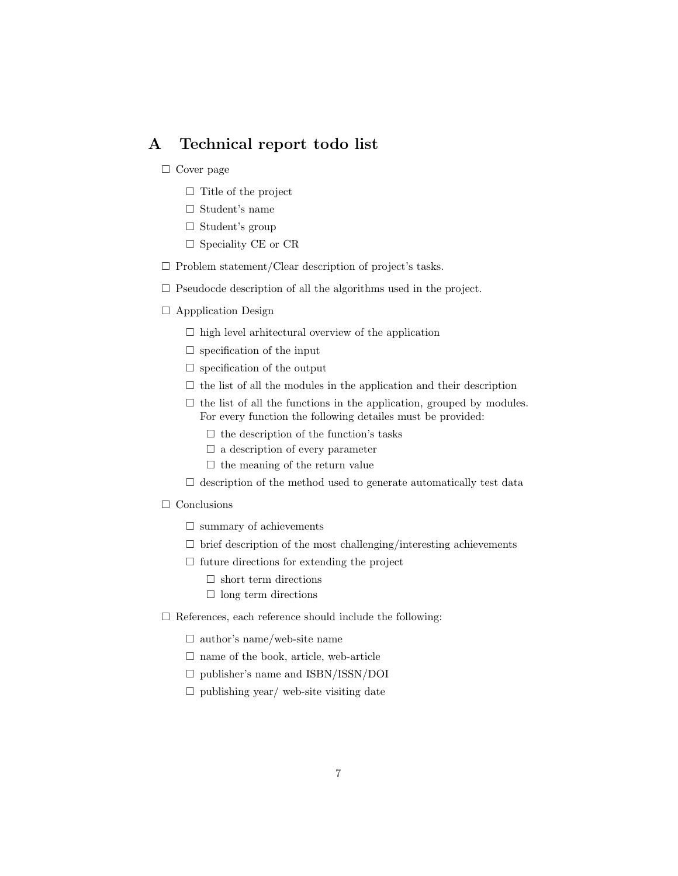## A Technical report todo list

- $\Box$  Cover page
	- $\Box$  Title of the project
	- $\Box$  Student's name
	- $\Box$  Student's group
	- $\square$  Speciality CE or CR
- $\Box$  Problem statement/Clear description of project's tasks.
- $\square$  Pseudocde description of all the algorithms used in the project.
- Appplication Design
	- $\Box$  high level arhitectural overview of the application
	- $\square$  specification of the input
	- $\square$  specification of the output
	- $\Box$  the list of all the modules in the application and their description
	- $\Box$  the list of all the functions in the application, grouped by modules. For every function the following detailes must be provided:
		- $\square$  the description of the function's tasks
		- $\square$  a description of every parameter
		- $\Box$  the meaning of the return value
	- $\square$  description of the method used to generate automatically test data
- $\Box$  Conclusions
	- $\square$  summary of achievements
	- $\square$  brief description of the most challenging/interesting achievements
	- $\Box$  future directions for extending the project
		- $\square$  short term directions
		- $\Box$  long term directions
- $\square$  References, each reference should include the following:
	- $\Box$  author's name/web-site name
	- $\square$  name of the book, article, web-article
	- publisher's name and ISBN/ISSN/DOI
	- $\square$  publishing year/ web-site visiting date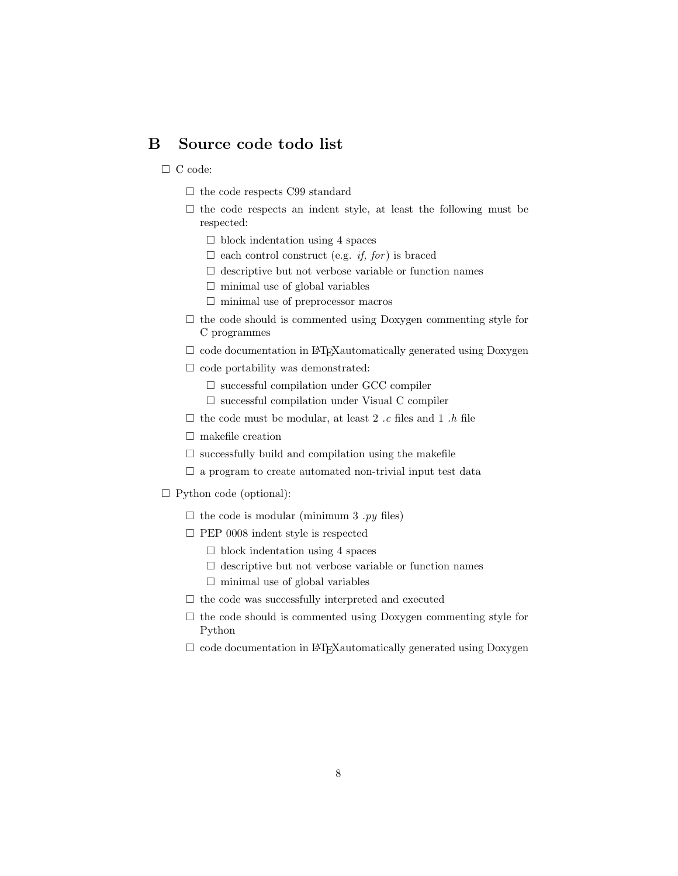## B Source code todo list

#### □ C code:

- $\square$  the code respects C99 standard
- $\square$  the code respects an indent style, at least the following must be respected:
	- $\Box$  block indentation using 4 spaces
	- $\Box$  each control construct (e.g. *if, for*) is braced
	- $\Box$  descriptive but not verbose variable or function names
	- $\square$  minimal use of global variables
	- $\Box$  minimal use of preprocessor macros
- $\Box$  the code should is commented using Doxygen commenting style for C programmes
- $\Box$  code documentation in LAT<sub>E</sub>Xautomatically generated using Doxygen
- $\Box$  code portability was demonstrated:
	- $\square$  successful compilation under GCC compiler
	- $\square$  successful compilation under Visual C compiler
- $\square$  the code must be modular, at least 2 .c files and 1 .h file
- $\square$  makefile creation
- $\square$  successfully build and compilation using the makefile
- $\square$  a program to create automated non-trivial input test data
- $\Box$  Python code (optional):
	- $\Box$  the code is modular (minimum 3 .py files)
	- PEP 0008 indent style is respected
		- $\Box$  block indentation using 4 spaces
		- $\square$  descriptive but not verbose variable or function names
		- $\square$  minimal use of global variables
	- $\square$  the code was successfully interpreted and executed
	- $\Box$  the code should is commented using Doxygen commenting style for Python
	- $\Box$  code documentation in LAT<sub>E</sub>X automatically generated using Doxygen